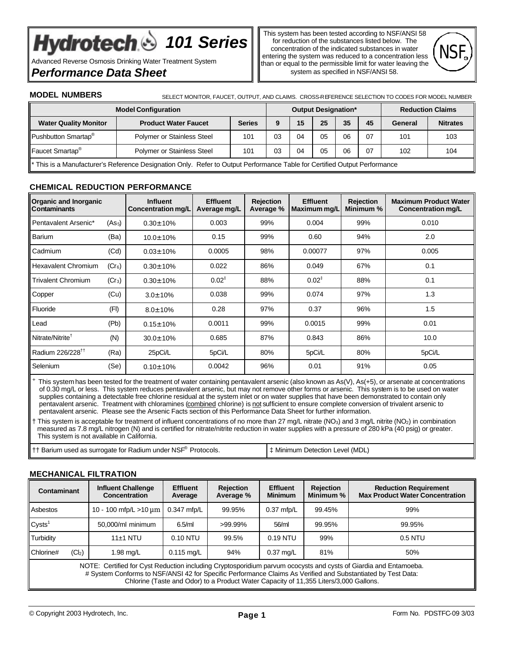# Hydrotech & 101 Series

Advanced Reverse Osmosis Drinking Water Treatment System

# *Performance Data Sheet*

This system has been tested according to NSF/ANSI 58 for reduction of the substances listed below. The concentration of the indicated substances in water entering the system was reduced to a concentration less than or equal to the permissible limit for water leaving the system as specified in NSF/ANSI 58.



**MODEL NUMBERS** SELECT MONITOR, FAUCET, OUTPUT, AND CLAIMS. CROSS-REFERENCE SELECTION TO CODES FOR MODEL NUMBER

| <b>Model Configuration</b>                                                                                                |                                   |               | <b>Output Designation*</b> |    |    |    | <b>Reduction Claims</b> |         |                 |
|---------------------------------------------------------------------------------------------------------------------------|-----------------------------------|---------------|----------------------------|----|----|----|-------------------------|---------|-----------------|
| <b>Water Quality Monitor</b>                                                                                              | <b>Product Water Faucet</b>       | <b>Series</b> | 9                          | 15 | 25 | 35 | 45                      | General | <b>Nitrates</b> |
| Pushbutton Smartap <sup>®</sup>                                                                                           | Polymer or Stainless Steel        | 101           | 03                         | 04 | 05 | 06 | 07                      | 101     | 103             |
| Faucet Smartap <sup>®</sup>                                                                                               | <b>Polymer or Stainless Steel</b> | 101           | 03                         | 04 | 05 | 06 | 07                      | 102     | 104             |
| * This is a Manufacturer's Reference Designation Only. Refer to Output Performance Table for Certified Output Performance |                                   |               |                            |    |    |    |                         |         |                 |

# **CHEMICAL REDUCTION PERFORMANCE**

| <b>Organic and Inorganic</b><br><b>Contaminants</b> |                    | <b>Influent</b><br><b>Concentration mg/L</b> | <b>Effluent</b><br>Average mg/L | <b>Rejection</b><br>Average % | <b>Effluent</b><br>Maximum mg/L | <b>Rejection</b><br>Minimum % | <b>Maximum Product Water</b><br>Concentration mg/L |
|-----------------------------------------------------|--------------------|----------------------------------------------|---------------------------------|-------------------------------|---------------------------------|-------------------------------|----------------------------------------------------|
| Pentavalent Arsenic*                                | (As <sub>5</sub> ) | $0.30 \pm 10\%$                              | 0.003                           | 99%                           | 0.004                           | 99%                           | 0.010                                              |
| Barium                                              | (Ba)               | 10.0±10%                                     | 0.15                            | 99%                           | 0.60                            | 94%                           | 2.0                                                |
| Cadmium                                             | (Cd)               | $0.03 \pm 10\%$                              | 0.0005                          | 98%                           | 0.00077                         | 97%                           | 0.005                                              |
| <b>Hexavalent Chromium</b>                          | $(Cr_6)$           | $0.30 \pm 10\%$                              | 0.022                           | 86%                           | 0.049                           | 67%                           | 0.1                                                |
| <b>Trivalent Chromium</b>                           | $(Cr_3)$           | $0.30 \pm 10\%$                              | $0.02^{\ddagger}$               | 88%                           | $0.02^{\ddagger}$               | 88%                           | 0.1                                                |
| Copper                                              | (Cu)               | $3.0 \pm 10\%$                               | 0.038                           | 99%                           | 0.074                           | 97%                           | 1.3                                                |
| Fluoride                                            | (FI)               | $8.0 \pm 10\%$                               | 0.28                            | 97%                           | 0.37                            | 96%                           | 1.5                                                |
| Lead                                                | (Pb)               | $0.15 \pm 10\%$                              | 0.0011                          | 99%                           | 0.0015                          | 99%                           | 0.01                                               |
| Nitrate/Nitrite <sup>1</sup>                        | (N)                | 30.0±10%                                     | 0.685                           | 87%                           | 0.843                           | 86%                           | 10.0                                               |
| Radium 226/228 <sup>11</sup>                        | (Ra)               | 25pCi/L                                      | 5pCi/L                          | 80%                           | 5pCi/L                          | 80%                           | 5pCi/L                                             |
| Selenium                                            | (Se)               | $0.10 \pm 10\%$                              | 0.0042                          | 96%                           | 0.01                            | 91%                           | 0.05                                               |

 This system has been tested for the treatment of water containing pentavalent arsenic (also known as As(V), As(+5), or arsenate at concentrations of 0.30 mg/L or less. This system reduces pentavalent arsenic, but may not remove other forms or arsenic. This system is to be used on water supplies containing a detectable free chlorine residual at the system inlet or on water supplies that have been demonstrated to contain only pentavalent arsenic. Treatment with chloramines (combined chlorine) is not sufficient to ensure complete conversion of trivalent arsenic to pentavalent arsenic. Please see the Arsenic Facts section of this Performance Data Sheet for further information.

† This system is acceptable for treatment of influent concentrations of no more than 27 mg/L nitrate (NO<sub>3</sub>) and 3 mg/L nitrite (NO<sub>2</sub>) in combination measured as 7.8 mg/L nitrogen (N) and is certified for nitrate/nitrite reduction in water supplies with a pressure of 280 kPa (40 psig) or greater. This system is not available in California.

# **MECHANICAL FILTRATION**

+

| Contaminant                                                                                                                                                                                                                                                                                                               |                    | <b>Influent Challenge</b><br>Concentration | <b>Effluent</b><br>Average | <b>Rejection</b><br>Average % | <b>Effluent</b><br><b>Minimum</b> | <b>Rejection</b><br>Minimum % | <b>Reduction Requirement</b><br><b>Max Product Water Concentration</b> |
|---------------------------------------------------------------------------------------------------------------------------------------------------------------------------------------------------------------------------------------------------------------------------------------------------------------------------|--------------------|--------------------------------------------|----------------------------|-------------------------------|-----------------------------------|-------------------------------|------------------------------------------------------------------------|
| Asbestos                                                                                                                                                                                                                                                                                                                  |                    | 10 - 100 mfp/L > 10 $\mu$ m                | $0.347$ mfp/L              | 99.95%                        | $0.37$ mfp/L                      | 99.45%                        | 99%                                                                    |
| Cysts <sup>1</sup>                                                                                                                                                                                                                                                                                                        |                    | 50.000/ml minimum                          | $6.5$ /ml                  | >99.99%                       | 56/ml                             | 99.95%                        | 99.95%                                                                 |
| Turbidity                                                                                                                                                                                                                                                                                                                 |                    | $11±1$ NTU                                 | 0.10 NTU                   | 99.5%                         | $0.19$ NTU                        | 99%                           | $0.5$ NTU                                                              |
| Chlorine#                                                                                                                                                                                                                                                                                                                 | (Cl <sub>2</sub> ) | l.98 mg/L                                  | $0.115 \,\mathrm{mq/L}$    | 94%                           | $0.37 \text{ mq/L}$               | 81%                           | 50%                                                                    |
| NOTE: Certified for Cyst Reduction including Cryptosporidium parvum ococysts and cysts of Giardia and Entamoeba.<br># System Conforms to NSF/ANSI 42 for Specific Performance Claims As Verified and Substantiated by Test Data:<br>Chlorine (Taste and Odor) to a Product Water Capacity of 11,355 Liters/3,000 Gallons. |                    |                                            |                            |                               |                                   |                               |                                                                        |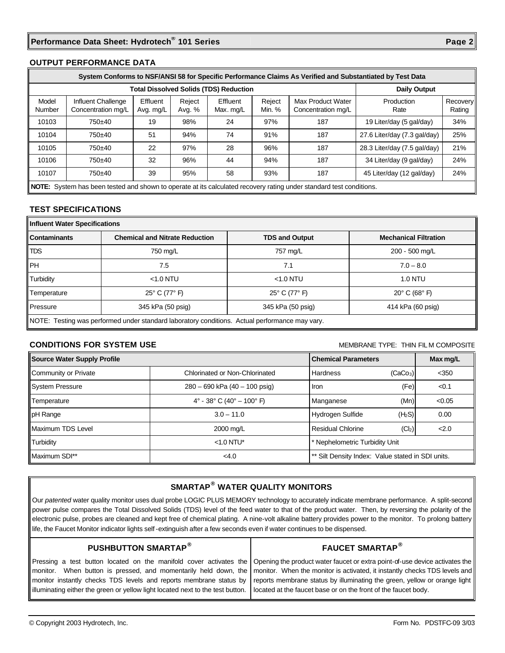#### **OUTPUT PERFORMANCE DATA**

|                 | System Conforms to NSF/ANSI 58 for Specific Performance Claims As Verified and Substantiated by Test Data           |                       |                  |                       |                  |                                         |                              |                           |
|-----------------|---------------------------------------------------------------------------------------------------------------------|-----------------------|------------------|-----------------------|------------------|-----------------------------------------|------------------------------|---------------------------|
|                 | <b>Total Dissolved Solids (TDS) Reduction</b>                                                                       |                       |                  |                       |                  |                                         |                              |                           |
| Model<br>Number | Influent Challenge<br>Concentration mg/L                                                                            | Effluent<br>Avg. mg/L | Reject<br>Avg. % | Effluent<br>Max. mg/L | Reject<br>Min. % | Max Product Water<br>Concentration mg/L | Production<br>Rate           | <b>Recovery</b><br>Rating |
| 10103           | 750±40                                                                                                              | 19                    | 98%              | 24                    | 97%              | 187                                     | 19 Liter/day (5 gal/day)     | 34%                       |
| 10104           | 750±40                                                                                                              | 51                    | 94%              | 74                    | 91%              | 187                                     | 27.6 Liter/day (7.3 gal/day) | 25%                       |
| 10105           | 750±40                                                                                                              | 22                    | 97%              | 28                    | 96%              | 187                                     | 28.3 Liter/day (7.5 gal/day) | 21%                       |
| 10106           | 750±40                                                                                                              | 32                    | 96%              | 44                    | 94%              | 187                                     | 34 Liter/day (9 gal/day)     | 24%                       |
| 10107           | 750±40                                                                                                              | 39                    | 95%              | 58                    | 93%              | 187                                     | 45 Liter/day (12 gal/day)    | 24%                       |
|                 | NOTE: System has been tested and shown to operate at its calculated recovery rating under standard test conditions. |                       |                  |                       |                  |                                         |                              |                           |

## **TEST SPECIFICATIONS**

| Influent Water Specifications                                                                  |                                       |                       |                                  |  |  |  |
|------------------------------------------------------------------------------------------------|---------------------------------------|-----------------------|----------------------------------|--|--|--|
| <b>Contaminants</b>                                                                            | <b>Chemical and Nitrate Reduction</b> | <b>TDS and Output</b> | <b>Mechanical Filtration</b>     |  |  |  |
| <b>TDS</b>                                                                                     | 750 mg/L                              | 757 mg/L              | 200 - 500 mg/L                   |  |  |  |
| <b>IPH</b>                                                                                     | 7.5                                   | 7.1                   | $7.0 - 8.0$                      |  |  |  |
| Turbidity                                                                                      | $<$ 1.0 NTU                           | $<$ 1.0 NTU           | <b>1.0 NTU</b>                   |  |  |  |
| Temperature                                                                                    | 25° C (77° F)                         | 25° C (77° F)         | $20^{\circ}$ C (68 $^{\circ}$ F) |  |  |  |
| Pressure                                                                                       | 345 kPa (50 psig)                     | 345 kPa (50 psig)     | 414 kPa (60 psig)                |  |  |  |
| NOTE: Testing was performed under standard laboratory conditions. Actual performance may vary. |                                       |                       |                                  |  |  |  |

# **CONDITIONS FOR SYSTEM USE MEMBRANE TYPE:** THIN FILM COMPOSITE

| Source Water Supply Profile |                                    | <b>Chemical Parameters</b>                        |                      |         |
|-----------------------------|------------------------------------|---------------------------------------------------|----------------------|---------|
| Community or Private        | Chlorinated or Non-Chlorinated     | Hardness                                          | (CaCo <sub>3</sub> ) | $<$ 350 |
| System Pressure             | 280 - 690 kPa (40 - 100 psig)      | Iron                                              | (Fe)                 | < 0.1   |
| Temperature                 | $4^{\circ}$ - 38° C (40° – 100° F) | Manganese                                         | (Mn)                 | < 0.05  |
| pH Range                    | $3.0 - 11.0$                       | Hydrogen Sulfide                                  | (H <sub>2</sub> S)   | 0.00    |
| Maximum TDS Level           | 2000 mg/L                          | Residual Chlorine                                 | (Cl <sub>2</sub> )   | 2.0     |
| <b>Turbidity</b>            | $< 1.0$ NTU*                       | * Nephelometric Turbidity Unit                    |                      |         |
| Maximum SDI**               | <4.0                               | ** Silt Density Index: Value stated in SDI units. |                      |         |

# **SMARTAP® WATER QUALITY MONITORS**

Our *patented* water quality monitor uses dual probe LOGIC PLUS MEMORY technology to accurately indicate membrane performance. A split-second power pulse compares the Total Dissolved Solids (TDS) level of the feed water to that of the product water. Then, by reversing the polarity of the electronic pulse, probes are cleaned and kept free of chemical plating. A nine-volt alkaline battery provides power to the monitor. To prolong battery life, the Faucet Monitor indicator lights self -extinguish after a few seconds even if water continues to be dispensed.

# **PUSHBUTTON SMARTAP®**

# **FAUCET SMARTAP®**

Pressing a test button located on the manifold cover activates the monitor. When button is pressed, and momentarily held down, the monitor instantly checks TDS levels and reports membrane status by illuminating either the green or yellow light located next to the test button.

Opening the product water faucet or extra point-of-use device activates the monitor. When the monitor is activated, it instantly checks TDS levels and reports membrane status by illuminating the green, yellow or orange light located at the faucet base or on the front of the faucet body.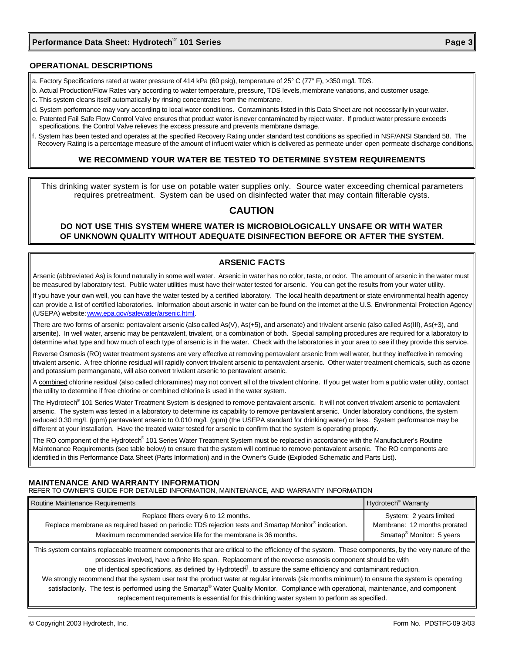#### **OPERATIONAL DESCRIPTIONS**

- a. Factory Specifications rated at water pressure of 414 kPa (60 psig), temperature of 25° C (77° F), >350 mg/L TDS.
- b. Actual Production/Flow Rates vary according to water temperature, pressure, TDS levels, membrane variations, and customer usage.
- c. This system cleans itself automatically by rinsing concentrates from the membrane.
- d. System performance may vary according to local water conditions. Contaminants listed in this Data Sheet are not necessarily in your water.
- e. Patented Fail Safe Flow Control Valve ensures that product water is never contaminated by reject water. If product water pressure exceeds specifications, the Control Valve relieves the excess pressure and prevents membrane damage.
- f. System has been tested and operates at the specified Recovery Rating under standard test conditions as specified in NSF/ANSI Standard 58. The Recovery Rating is a percentage measure of the amount of influent water which is delivered as permeate under open permeate discharge conditions.

#### **WE RECOMMEND YOUR WATER BE TESTED TO DETERMINE SYSTEM REQUIREMENTS**

This drinking water system is for use on potable water supplies only. Source water exceeding chemical parameters requires pretreatment. System can be used on disinfected water that may contain filterable cysts.

# **CAUTION**

## **DO NOT USE THIS SYSTEM WHERE WATER IS MICROBIOLOGICALLY UNSAFE OR WITH WATER OF UNKNOWN QUALITY WITHOUT ADEQUATE DISINFECTION BEFORE OR AFTER THE SYSTEM.**

#### **ARSENIC FACTS**

Arsenic (abbreviated As) is found naturally in some well water. Arsenic in water has no color, taste, or odor. The amount of arsenic in the water must be measured by laboratory test. Public water utilities must have their water tested for arsenic. You can get the results from your water utility.

If you have your own well, you can have the water tested by a certified laboratory. The local health department or state environmental health agency can provide a list of certified laboratories. Information about arsenic in water can be found on the internet at the U.S. Environmental Protection Agency (USEPA) website: www.epa.gov/safewater/arsenic.html.

There are two forms of arsenic: pentavalent arsenic (also called As(V), As(+5), and arsenate) and trivalent arsenic (also called As(III), As(+3), and arsenite). In well water, arsenic may be pentavalent, trivalent, or a combination of both. Special sampling procedures are required for a laboratory to determine what type and how much of each type of arsenic is in the water. Check with the laboratories in your area to see if they provide this service.

Reverse Osmosis (RO) water treatment systems are very effective at removing pentavalent arsenic from well water, but they ineffective in removing trivalent arsenic. A free chlorine residual will rapidly convert trivalent arsenic to pentavalent arsenic. Other water treatment chemicals, such as ozone and potassium permanganate, will also convert trivalent arsenic to pentavalent arsenic.

A combined chlorine residual (also called chloramines) may not convert all of the trivalent chlorine. If you get water from a public water utility, contact the utility to determine if free chlorine or combined chlorine is used in the water system.

The Hydrotech® 101 Series Water Treatment System is designed to remove pentavalent arsenic. It will not convert trivalent arsenic to pentavalent arsenic. The system was tested in a laboratory to determine its capability to remove pentavalent arsenic. Under laboratory conditions, the system reduced 0.30 mg/L (ppm) pentavalent arsenic to 0.010 mg/L (ppm) (the USEPA standard for drinking water) or less. System performance may be different at your installation. Have the treated water tested for arsenic to confirm that the system is operating properly.

The RO component of the Hydrotech<sup>®</sup> 101 Series Water Treatment System must be replaced in accordance with the Manufacturer's Routine Maintenance Requirements (see table below) to ensure that the system will continue to remove pentavalent arsenic. The RO components are identified in this Performance Data Sheet (Parts Information) and in the Owner's Guide (Exploded Schematic and Parts List).

## **MAINTENANCE AND WARRANTY INFORMATION**

REFER TO OWNER'S GUIDE FOR DETAILED INFORMATION, MAINTENANCE, AND WARRANTY INFORMATION

| Routine Maintenance Requirements                                                                                                                                                                                            | Hydrotech <sup>®</sup> Warranty                                                                  |  |  |  |
|-----------------------------------------------------------------------------------------------------------------------------------------------------------------------------------------------------------------------------|--------------------------------------------------------------------------------------------------|--|--|--|
| Replace filters every 6 to 12 months.<br>Replace membrane as required based on periodic TDS rejection tests and Smartap Monitor <sup>®</sup> indication.<br>Maximum recommended service life for the membrane is 36 months. | System: 2 years limited<br>Membrane: 12 months prorated<br>Smartap <sup>®</sup> Monitor: 5 years |  |  |  |
| This such a contribution contracted to change a consequente that and subject the afficiency of the contract. These consequents that the unique setting of the                                                               |                                                                                                  |  |  |  |

This system contains replaceable treatment components that are critical to the efficiency of the system. These components, by the very nature of the processes involved, have a finite life span. Replacement of the reverse osmosis component should be with

one of identical specifications, as defined by Hydrotech®, to assure the same efficiency and contaminant reduction.

We strongly recommend that the system user test the product water at regular intervals (six months minimum) to ensure the system is operating satisfactorily. The test is performed using the Smartap® Water Quality Monitor. Compliance with operational, maintenance, and component replacement requirements is essential for this drinking water system to perform as specified.